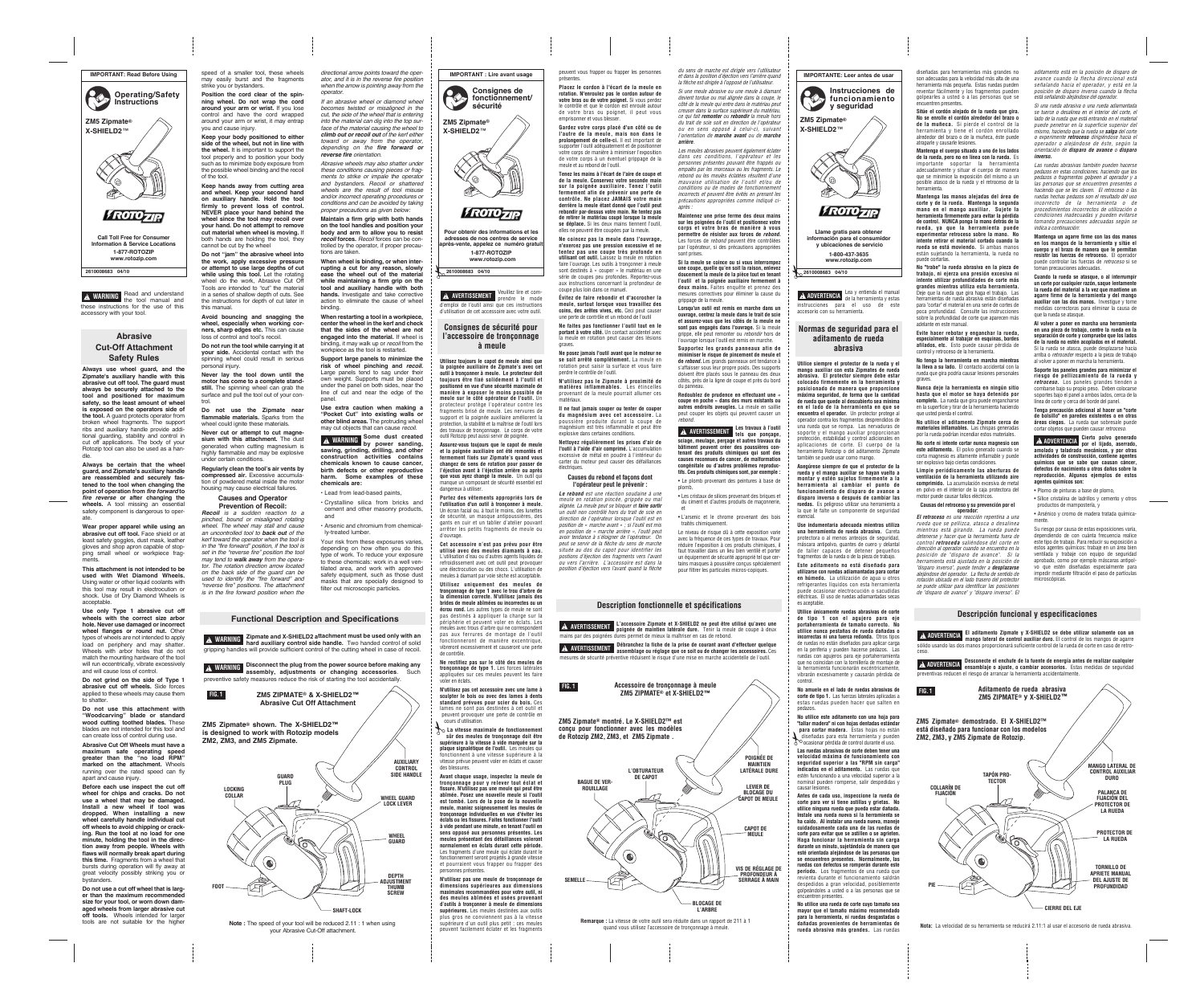**Always use wheel guard, and the Zipmate's auxiliary handle with this abrasive cut off tool. The guard must always be securely attached to the tool and positioned for maximum safety, so the least amount of wheel is exposed on the operators side of the tool.** A guard protects operator from broken wheel fragments. The support ribs and auxiliary handle provide additional guarding, stability and control in cut off applications. The body of your Rotozip tool can also be used as a handle.

**Always be certain that the wheel guard, and Zipmate's auxiliary handle are reassembled and securely fastened to the tool when changing the point of operation from fire forward to fire reverse or after changing the wheels.** A tool missing an essential safety component is dangerous to operate.

**Wear proper apparel while using an abrasive cut off tool.** Face shield or at least safety goggles, dust mask, leather gloves and shop apron capable of stopping small wheel or workpiece fragments.

**This attachment is not intended to be used with Wet Diamond Wheels.** Using water or other liquid coolants with this tool may result in electrocution or shock. Use of Dry Diamond Wheels is acceptable.

**Use only Type 1 abrasive cut off wheels with the correct size arbor hole. Never use damaged or incorrect wheel flanges or round nut.** Other types of wheels are not intended to apply load on periphery and may shatter. Wheels with arbor holes that do not match the mounting hardware of the tool will run eccentrically, vibrate excessively and will cause loss of control.

**Do not grind on the side of Type 1 abrasive cut off wheels.** Side forces applied to these wheels may cause them to shatter.

**Do not use this attachment with "Woodcarving" blade or standard wood cutting toothed blades.** These blades are not intended for this tool and can create loss of control during use.

**Abrasive Cut Off Wheels must have a maximum safe operating speed greater than the "no load RPM" marked on the attachment.** Wheels running over the rated speed can fly apart and cause injury.

**Do not use the Zipmate near flammable materials.** Sparks from the wheel could ignite these materials.

**Before each use inspect the cut off wheel for chips and cracks. Do not use a wheel that may be damaged. Install a new wheel if tool was dropped. When installing a new wheel carefully handle individual cut off wheels to avoid chipping or cracking. Run the tool at no load for one minute, holding the tool in the direction away from people. Wheels with flaws will normally break apart during this time.** Fragments from a wheel that bursts during operation will fly away at great velocity possibly striking you or bystanders.

**Do not use a cut off wheel that is larger than the maximum recommended size for your tool, or worn down damaged wheels from larger abrasive cut off tools.** Wheels intended for larger tools are not suitable for the higher

speed of a smaller tool, these wheels may easily burst and the fragments strike you or bystanders.

**Position the cord clear of the spinning wheel. Do not wrap the cord around your arm or wrist.** If you lose control and have the cord wrapped around your arm or wrist, it may entrap you and cause injury.

> **Maintain a firm grip with both hands on the tool handles and position your body and arm to allow you to resist recoil forces.** Recoil forces can be controlled by the operator, if proper precautions are taken.

**Keep your body positioned to either side of the wheel, but not in line with the wheel.** It is important to support the tool properly and to position your body such as to minimize body exposure from the possible wheel binding and the recoil of the tool.

**Keep hands away from cutting area and wheel. Keep your second hand on auxiliary handle. Hold the tool firmly to prevent loss of control. NEVER place your hand behind the wheel since the tool may recoil over your hand. Do not attempt to remove cut material when wheel is moving.** If both hands are holding the tool, they cannot be cut by the wheel

> • Arsenic and chromium from chemically-treated lumber

**Do not "jam" the abrasive wheel into the work, apply excessive pressure or attempt to use large depths of cut while using this tool.** Let the rotating wheel do the work, Abrasive Cut Off Tools are intended to "cut" the material in a series of shallow depth of cuts. See the instructions for depth of cut later in this manual.

**Avoid bouncing and snagging the wheel, especially when working corners, sharp edges etc.** This can cause loss of control and tool's recoil.

**Do not run the tool while carrying it at your side.** Accidental contact with the spinning wheel could result in serious personal injury.

**Never lay the tool down until the motor has come to a complete standstill.** The spinning wheel can grab the surface and pull the tool out of your control.

**Never cut or attempt to cut magnesium with this attachment.** The dust generated when cutting magnesium is highly flammable and may be explosive under certain conditions.

**Regularly clean the tool's air vents by compressed air.** Excessive accumulation of powdered metal inside the motor housing may cause electrical failures.

## **Causes and Operator Prevention of Recoil:**

#### **Recoil** is a sudden reaction to a pinched, bound or misaligned rotating wheel. The wheel may stall and cause an uncontrolled tool to **back out** of the kerf toward the operator when the tool is in the "fire forward" position, if the tool is set in the "reverse fire" position the tool may tend to **walk away** from the operator. The rotation direction arrow located on the back side of the guard can be used to identify the "fire forward" and "reverse fire" positions. The attachment is in the fire forward position when the

directional arrow points toward the operator, and it is in the reverse fire position when the arrow is pointing away from the operator.

If an abrasive wheel or diamond wheel becomes twisted or misaligned in the cut, the side of the wheel that is entering into the material can dig into the top surface of the material causing the wheel to **climb out or recoil out** of the kerf either toward or away from the operator, depending on the **fire forward or reverse fire** orientation.

Abrasive wheels may also shatter under these conditions causing pieces or fragments to strike or impale the operator and bystanders. Recoil or shattered wheels are the result of tool misuse and/or incorrect operating procedures or conditions and can be avoided by taking proper precautions as given below:

**When wheel is binding, or when interrupting a cut for any reason, slowly ease the wheel out of the material while maintaining a firm grip on the tool and auxiliary handle with both hands.** Investigate and take corrective action to eliminate the cause of wheel binding.

**When restarting a tool in a workpiece, center the wheel in the kerf and check that the sides of the wheel are not engaged into the material.** If wheel is binding, it may walk up or *recoil* from the workpiece as the tool is restarted.

> **Redoublez de prudence en effectuant une « coupe en poche » dans des murs existants ou autres endroits aveugles.** La meule en saillie peut couper les objets qui peuvent causer un *rebond*. **Les travaux à l'outil A** AVERTISSEMENT **tels** que ponçage.

**Support large panels to minimize the risk of wheel pinching and recoil.** Large panels tend to sag under their own weight. Supports must be placed under the panel on both sides, near the line of cut and near the edge of the panel.

**Use extra caution when making a "Pocket Cut" into existing walls or other blind areas.** The protruding wheel may cut objects that can cause recoil.

**Some dust created by** power sanding,<br> **by** power sanding, **sawing, grinding, drilling, and other construction activities contains chemicals known to cause cancer, birth defects or other reproductive harm. Some examples of these chemicals are:**

• Lead from lead-based paints,

• Crystalline silica from bricks and cement and other masonry products, and

Your risk from these exposures varies, depending on how often you do this type of work. To reduce your exposure to these chemicals: work in a well ventilated area, and work with approved safety equipment, such as those dust masks that are specially designed to filter out microscopic particles.

**Utilisez toujours le capot de meule ainsi que la poignée auxiliaire de Zipmate's avec cet outil à tronçonner à meule. Le protecteur doit toujours être fixé solidement à l'outil et positionné en vue d'une sécurité maximale de manière à exposer le moins possible de meule sur le côté opérateur de l'outil.** Un protecteur protège l'opérateur contre les fragments brisé de meule. Les nervures de support et la poignée auxiliaire améliorent la protection, la stabilité et la maîtrise de l'outil lors des travaux de tronçonnage. Le corps de votre

> **No utilice este aditamento con una hoja para "tallar madera" ni con hojas dentadas estándar para cortar madera.** Estas hojas no están diseñadas para esta herramienta y pueden **November de control durante el uso.**<br>
> Socasionar pérdida de control durante el uso.

outil Rotozip peut aussi servir de poignée.

**Assurez-vous toujours que le capot de meule et la poignée auxiliaire ont été remontés et fermement fixés sur Zipmate's quand vous changez de sens de rotation pour passer de l'éjection avant à l'éjection arrière ou après que vous ayez changé la meule.** Un outil qui manque un composant de sécurité essentiel est dangereux à utiliser.

**Portez des vêtements appropriés lors de l'utilisation d'un outil à tronçonner à meule.** Un écran facial ou, à tout le moins, des lunettes de sécurité, un masque antipoussières, des gants en cuir et un tablier d'atelier pouvant arrêter les petits fragments de meule ou d'ouvrage.

**Cet accessoire n'est pas prévu pour être utilisé avec des meules diamants à eau.** L'utilisation d'eau ou d'autres agents liquides de refroidissement avec cet outil peut provoquer une électrocution ou des chocs. L'utilisation de meules à diamant par voie sèche est acceptable.

**Utilisez uniquement des meules de tronçonnage de type 1 avec le trou d'arbre de la dimension correcte. N'utilisez jamais des brides de meule abîmées ou incorrectes ou un écrou rond.** Les autres types de meule ne sont pas destinés à appliquer la charge sur la périphérie et peuvent voler en éclats. Les meules avec trous d'arbre qui ne corre pas aux ferrures de montage de l'outil fonctionneront de manière excentrique, vibreront excessivement et causeront une perte de contrôle.

**Ne rectifiez pas sur le côté des meules de tronçonnage de type 1.** Les forces latérales appliquées sur ces meules peuvent les faire voler en éclats.

**N'utilisez pas cet accessoire avec une lame à sculpter le bois ou avec des lames à dents standard prévues pour scier du bois.** Ces lames ne sont pas destinées à cet outil et peuvent provoquer une perte de contrôle en cours d'utilisation.

**La vitesse maximale de fonctionnement** ✃ **sûr des meules de tronçonnage doit être supérieure à la vitesse à vide marquée sur la plaque signalétique de l'outil.** Les meules qui fonctionnent à une vitesse supérieure à la vitesse prévue peuvent voler en éclats et causer des blessures.

**Avant chaque usage, inspectez la meule de tronçonnage pour y relever tout éclat et fissure. N'utilisez pas une meule qui peut être abîmée. Posez une nouvelle meule si l'outil est tombé. Lors de la pose de la nouvelle meule, maniez soigneusement les meules de tronçonnage individuelles en vue d'éviter les éclats ou les fissures. Faites fonctionner l'outil à vide pendant une minute, en tenant l'outil en sens opposé aux personnes présentes. Les meules présentant des défaillances voleront normalement en éclats durant cette période.** Les fragments d'une meule qui éclate durant le fonctionnement seront projetés à grande vitesse et pourraient vous frapper ou frapper des personnes présentes.

**N'utilisez pas une meule de tronçonnage de dimensions supérieures aux dimensions maximales recommandées pour votre outil, ni des meules abîmées et usées provenant d'outils à tronçonner à meule de dimensions supérieures.** Les meules destinées aux outils plus gros ne conviennent pas à la vitesse supérieure d'un outil plus petit ; ces meules peuvent facilement éclater et les fragments

*du sens de marche est dirigée vers l'utilisateur et dans la position d'éjection vers l'arrière quand la flèche est dirigée à l'opposé de l'utilisateur. Si une meule abrasive ou une meule à diamant devient tordue ou mal alignée dans la coupe, le côté de la meule qui entre dans le matériau peut creuser dans la surface supérieure du matériau, ce qui fait remonter ou rebondir la meule hors du trait de scie soit en direction de l'opérateur ou en sens opposé à celui-ci, suivant l'orientation de marche avant ou de marche*

*arrière.*

*Les meules abrasives peuvent également éclater dans ces conditions, l'opérateur et les personnes présentes pouvant être frappés ou empalés par les morceaux ou les fragments. Le rebond ou les meules éclatées résultent d'une mauvaise utilisation de l'outil et/ou de conditions ou de modes de fonctionnement incorrects et peuvent être évités en prenant les précautions appropriées comme indiqué ci-*

*après :*

**Maintenez une prise ferme des deux mains sur les poignées de l'outil et positionnez votre corps et votre bras de manière à vous permettre de résister aux forces de** *rebond***.** Les forces de *rebond* peuvent être contrôlées par l'opérateur, si des précautions appropriées

sont prises.

**Si la meule se coince ou si vous interrompez une coupe, quelle qu'en soit la raison, enlevez doucement la meule de la pièce tout en tenant l'outil et la poignée auxiliaire fermement à deux mains.** Faites enquête et prenez des mesures correctives pour éliminer la cause du

grippage de la meule.

**Lorsqu'un outil est remis en marche dans un ouvrage, centrez la meule dans le trait de scie et assurez-vous que les côtés de la meule ne sont pas engagés dans l'ouvrage.** Si la meule grippe, elle peut remonter ou *rebondir* hors de l'ouvrage lorsque l'outil est remis en marche. **Supportez les grands panneaux afin de minimiser le risque de pincement de meule et de** *rebond***.** Les grands panneaux ont tendance à s'affaisser sous leur propre poids. Des supports doivent être placés sous le panneau des deux côtés, près de la ligne de coupe et près du bord

du panneau.

**sciage, meulage, perçage et autres travaux du bâtiment peuvent créer des poussières contenant des produits chimiques qui sont des causes reconnues de cancer, de malformation congénitale ou d'autres problèmes reproductifs. Ces produits chimiques sont, par exemple :** • Le plomb provenant des peintures à base de plomb,

• Les cristaux de silices provenant des briques et du ciment et d'autres produits de maçonnerie, et

• L'arsenic et le chrome provenant des bois traités chimiquement.

Le niveau de risque dû à cette exposition varie avec la fréquence de ces types de travaux. Pour réduire l'exposition à ces produits chimiques, il faut travailler dans un lieu bien ventilé et porter un équipement de sécurité approprié tel que certains masques à poussière concus spécialement pour filtrer les particules micros-copiques.

Lea y entienda el manual **A ADVERTENCIA** Lea y entienda el mandal instrucciones para el uso de este accesorio con su herramienta.

**Utilice siempre el protector de la rueda y el mango auxiliar con esta Zipmates de rueda abrasiva. El protector siempre debe estar colocado firmemente en la herramienta y posicionado de manera que proporcione máxima seguridad, de forma que la cantidad de rueda que quede al descubierto sea mínima en el lado de la herramienta en que se encuentra el operador.** Un protector protege al pperador contra los fragmentos desprendidos d una rueda que se rompa. Las nervaduras de soporte y el mango auxiliar proporcionan protección, estabilidad y control adicionales en aplicaciones de corte. El cuerpo de la herramienta Rotozip o del aditamento Zipmate también se puede usar como mango.

**Asegúrese siempre de que el protector de la rueda y el mango auxiliar se hayan vuelto a montar y estén sujetos firmemente a la herramienta al cambiar el punto de funcionamiento de disparo de avance a disparo inverso o después de cambiar las ruedas.** Es peligroso utilizar una herramienta a la que le falte un componente de seguridad esencial.

**Use indumentaria adecuada mientras utiliza una herramienta de rueda abrasiva.** Careta protectora o al menos anteojos de seguridad, máscara antipolvo, guantes de cuero y delantal de taller capaces de detener pequeños fragmentos de la rueda o de la pieza de trabajo.

**Este aditamento no está diseñado para utilizarse con ruedas adiamantadas para cortar en húmedo.** La utilización de agua u otros refrigerantes líquidos con esta herramienta puede ocasionar electrocución o sacudidas eléctricas. El uso de ruedas adiamantadas secas es aceptable.

**Utilice únicamente ruedas abrasivas de corte de tipo 1 con el agujero para eje portaherramienta de tamaño correcto. No utilice nunca pestañas de rueda dañadas o incorrectas ni una tuerca redonda.** Otros tipos de ruedas no están diseñados para aplicar carga en la periferia y pueden hacerse pedazos. Las ruedas con agujeros para eje portaherramienta que no coincidan con la tornillería de montaje de la herramienta funcionarán excéntricamente, vibrarán excesivamente y causarán pérdida de control.

**No amuele en el lado de ruedas abrasivas de corte de tipo 1.** Las fuerzas laterales aplicadas a estas ruedas pueden hacer que salten en pedazos.

**Las ruedas abrasivas de corte deben tener una velocidad máxima de funcionamiento con seguridad superior a las "RPM sin carga" indicadas en el aditamento.** Las ruedas que estén funcionando a una velocidad superior a la nominal pueden romperse, salir despedidas y causar lesiones.

**Antes de cada uso, inspeccione la rueda de corte para ver si tiene astillas y grietas. No utilice ninguna rueda que pueda estar dañada. Instale una rueda nueva si la herramienta se ha caído. Al instalar una rueda nueva, maneje cuidadosamente cada una de las ruedas de corte para evitar que se astillen o se agrieten. Haga funcionar la herramienta sin carga durante un minuto, sujetándola de manera que esté orientada alejándose de las personas que se encuentren presentes. Normalmente, las ruedas con defectos se romperán durante este período.** Los fragmentos de una rueda que revienta durante el funcionamiento saldrán despedidos a gran velocidad, posiblemente golpeándoles a usted o a las personas que se encuentren presentes.

Veuillez lire et comprendre le mode d'emploi de l'outil ainsi que ces instructions d'utilisation de cet accessoire avec votre outil. **! AVERTISSEMENT Évitez de faire rebondir et d'accrocher la meule, surtout lorsque vous travaillez des coins, des arêtes vives, etc.** Ceci peut causer une perte de contrôle et un rebond de l'outil

> **No utilice una rueda de corte cuyo tamaño sea mayor que el tamaño máximo recomendado para la herramienta, ni ruedas desgastadas o dañadas provenientes de herramientas de rueda abrasiva más grandes.** Las ruedas

diseñadas para herramientas más grandes no son adecuadas para la velocidad más alta de una herramienta más pequeña. Estas ruedas pueden reventar fácilmente y los fragmentos pueden golpearles a usted o a las personas que se encuentren presentes.

**Sitúe el cordón alejado de la rueda que gira. No se enrolle el cordón alrededor del brazo o de la muñeca.** Si pierde el control de la herramienta y tiene el cordón enrollado alrededor del brazo o de la muñeca, éste puede atraparle y causarle lesiones.

**Mantenga el cuerpo situado a uno de los lados de la rueda, pero no en línea con la rueda.** Es importante soportar la herramienta adecuadamente y situar el cuerpo de manera que se minimice la exposición del mismo a un posible atasco de la rueda y el retroceso de la herramienta.

**Mantenga las manos alejadas del área de corte y de la rueda. Mantenga la segunda mano en el mango auxiliar. Sujete la herramienta firmemente para evitar la pérdida de control. NUNCA ponga la mano detrás de la rueda, ya que la herramienta puede experimentar retroceso sobre la mano. No intente retirar el material cortado cuando la rueda se está moviendo.** Si ambas manos están sujetando la herramienta, la rueda no puede cortarlas.

**No "trabe" la rueda abrasiva en la pieza de trabajo, ni ejerza una presión excesiva ni intente utilizar profundidades de corte más grandes mientras utiliza esta herramienta.** Deje que la rueda que gira haga el trabajo. Las herramientas de rueda abrasiva están diseñadas para "cortar" el material en una serie de cortes de poca profundidad. Consulte las instrucciones sobre la profundidad de corte que aparecen más adelante en este manual.

**Evite hacer rebotar y enganchar la rueda, especialmente al trabajar en esquinas, bordes afilados, etc.** Esto puede causar pérdida de control y retroceso de la herramienta.

**No tenga la herramienta en marcha mientras la lleva a su lado.** El contacto accidental con la rueda que gira podría causar lesiones personales graves.

**Nunca deje la herramienta en ningún sitio hasta que el motor se haya detenido por completo.** La rueda que gira puede engancharse en la superficie y tirar de la herramienta haciendo que usted pierda el control.

**No utilice el aditamento Zipmate cerca de materiales inflamables.** Las chispas generadas por la rueda podrían incendiar estos materiales.

**No corte ni intente cortar nunca magnesio con este aditamento.** El polvo generado cuando se corta magnesio es altamente inflamable y puede ser explosivo bajo ciertas condiciones.

**Limpie periódicamente las aberturas de ventilación de la herramienta utilizando aire comprimido.** La acumulación excesiva de metal en polvo en el interior de la caja protectora del motor puede causar fallos eléctricos.

**Causas del retroceso y su prevención por el operador:**

*El retroceso es una reacción repentina a una rueda que se pellizca, atasca o desalinea mientras está girando. La rueda puede detenerse y hacer que la herramienta fuera de control retroceda saliéndose del corte en dirección al operador cuando se encuentra en la posición de "disparo de avance". Si la herramienta está ajustada en la posición de "disparo inverso", puede tender a desplazarse alejándose del operador. La flecha de sentido de rotación ubicada en el lado trasero del protector se puede utilizar para identificar las posiciones de "disparo de avance" y "disparo inverso". El*

*aditamento está en la posición de disparo de avance cuando la flecha direccional está señalando hacia el operador, y está en la posición de disparo inverso cuando la flecha está señalando alejándose del operador.*

*Si una rueda abrasiva o una rueda adiamantada se tuerce o desalinea en el interior del corte, el lado de la rueda que está entrando en el material puede penetrar en la superficie superior del mismo, haciendo que la rueda se salga del corte o experimente retroceso dirigiéndose hacia el operador o alejándose de éste, según la orientación de disparo de avance o disparo inverso.*

*Las ruedas abrasivas también pueden hacerse pedazos en estas condiciones, haciendo que los pedazos o fragmentos golpeen al operador y a las personas que se encuentren presentes o haciendo que se les claven. El retroceso o las ruedas hechas pedazos son el resultado del uso incorrecto de la herramienta o de procedimientos incorrectos de utilización o condiciones inadecuadas y pueden evitarse tomando precauciones adecuadas según se indica a continuación:*

**Mantenga un agarre firme con las dos manos en los mangos de la herramienta y sitúe el cuerpo y el brazo de manera que le permitan resistir las fuerzas de retroceso.** El operador puede controlar las fuerzas de *retroceso* si se toman precauciones adecuadas.

**Cuando la rueda se atasque, o al interrumpir un corte por cualquier razón, saque lentamente la rueda del material a la vez que mantiene un agarre firme de la herramienta y del mango auxiliar con las dos manos.** Investigue y tome medidas correctoras para eliminar la causa de que la rueda se atasque.

**Al volver a poner en marcha una herramienta en una pieza de trabajo, centre la rueda en la separación de corte y compruebe que los lados de la rueda no estén acoplados en el material.** Si la rueda se atasca, puede desplazarse hacia arriba o *retroceder* respecto a la pieza de trabajo al volver a poner en marcha la herramienta.

**Soporte los paneles grandes para minimizar el riesgo de pellizcamiento de la rueda y** retroceso. Los paneles grandes tienden a combarse bajo su propio peso. Deben colocarse soportes bajo el panel a ambos lados, cerca de la línea de corte y cerca del borde del panel.

**Tenga precaución adicional al hacer un "corte de bolsillo" en paredes existentes o en otras áreas ciegas.** La rueda que sobresale puede cortar objetos que pueden causar *retroceso.*

**Cierto polvo generado EXADVERTENCIA portal portal de ligado,** aserrado, **amolado y taladrado mecánicos, y por otras actividades de construcción, contiene agentes químicos que se sabe que causan cáncer, defectos de nacimiento u otros daños sobre la reproducción. Algunos ejemplos de estos agentes químicos son:**

• Plomo de pinturas a base de plomo,

• Sílice cristalina de ladrillos y cemento y otros productos de mampostería, y

• Arsénico y cromo de madera tratada químicamente.

Su riesgo por causa de estas exposiciones varía, dependiendo de con cuánta frecuencia realice este tipo de trabajo. Para reducir su exposición a estos agentes químicos: trabaje en un área bien ventilada y trabaje con equipo de seguridad aprobado, como por ejemplo máscaras antipolvo que estén diseñadas especialmente para impedir mediante filtración el paso de partículas microscópicas.

**X-SHIELD2**™



# **Abrasive Cut-Off Attachment Safety Rules**

**ZM5 Zipmate® Operating/Safety Instructions**

## **Consignes de sécurité pour l'accessoire de tronçonnage à meule**

## **Normas de seguridad para el aditamento de rueda abrasiva**

**2610008683 04/10**

✃ **2610008683 04/10**

**sécurité**

**Pour obtenir des informations et les adresses de nos centres de service après-vente, appelez ce numéro gratuit 1-877-ROTOZIP www.rotozip.com**

*FROTO ZIR* 



**2610008683 04/10**

✃

**1-800-437-3635 www.rotozip.com Llame gratis para obtener información para el consumidor y ubicaciones de servicio**

## **Functional Description and Specifications**

**Disconnect the plug from the power source before making any ! WARNING assembly, adjustments or changing accessories**. Such preventive safety measures reduce the risk of starting the tool accidentally.

Read and understand the tool manual and these instructions for the use of this accessory with your tool. **! WARNING**

## **Description fonctionnelle et spécifications**

**IMPORTANT : Lire avant usage Consignes de fonctionnement/** présentes.

> **L'accessoire Zipmate et X-SHIELD2 ne peut être utilisé qu'avec une A AVERTISSEMENT** • accessore zipinale et x-stitution de peut ette durise qu'avec une<br>**A AVERTISSEMENT** poignée de maintien latérale dure. Tenir la meule de coupe à deux mains par des poignées dures permet de mieux la maîtriser en cas de rebond. **Débranchez la fiche de la prise de courant avant d'effectuer quelque**

> **assemblage ou réglage que ce soit ou de changer les accessoires.** Ces **! AVERTISSEMENT** mesures de sécurité préventive réduisent le risque d'une mise en marche accidentelle de l'outil.

## **Descripción funcional y especificaciones**

**El aditamento Zipmate y X-SHIELD2 se debe utilizar solamente con un mango lateral de control auxiliar duro.** El control de los mangos de agarre sólido usando las dos manos proporcionará suficiente control de la rueda de corte en caso de retroceso. **! ADVERTENCIA**

peuvent vous frapper ou frapper les personnes

**Placez le cordon à l'écart de la meule en rotation. N'enroulez pas le cordon autour de votre bras ou de votre poignet.** Si vous perdez

le contrôle et que le cordon est enroulé autour de votre bras ou poignet, il peut vous emprisonner et vous blesse **Gardez votre corps placé d'un côté ou de l'autre de la meule, mais non dans le prolongement de celle-ci.** Il est important de supporter l'outil adéquatement et de positionner votre corps de manière à minimiser l'exposition de votre corps à un éventuel grippage de la

> meule et au rebond de l'outil. **Tenez les mains à l'écart de l'aire de coupe et de la meule. Conservez votre seconde main sur la poignée auxiliaire. Tenez l'outil fermement afin de prévenir une perte de contrôle. Ne placez JAMAIS votre main derrière la meule étant donné que l'outil peut rebondir par-dessus votre main. Ne tentez pas de retirer le matériau coupé lorsque la meule se déplace.** Si les deux mains tiennent l'outil,



elles ne peuvent être coupées par la meule. **Ne coincez pas la meule dans l'ouvrage, n'exercez pas une pression excessive et ne tentez pas une coupe très profonde en utilisant cet outil.** Laissez la meule en rotation faire l'ouvrage. Les outils à tronçonner à meule sont destinés à « couper » le matériau en une série de coupes peu profondes. Reportez-vous aux instructions concernant la profondeur de coupe plus loin dans ce manuel.

> **Desconecte el enchufe de la fuente de energía antes de realizar cualquier ensamblaje o ajuste, o cambiar accesorios.** Estas medidas de seguridad preventivas reducen el riesgo de arrancar la herramienta accidentalmente. **! ADVERTENCIA**

**Ne faites pas fonctionner l'outil tout en le portant à votre côté.** Un contact accidentel avec la meule en rotation peut causer des lésions **Ne posez jamais l'outil avant que le moteur ne**

graves.

**se soit arrêté complètement.** La meule en rotation peut saisir la surface et vous faire **N'utilisez pas le Zipmate à proximité de matières inflammables.** Les étincelles

perdre le contrôle de l'outil.

provenant de la meule pourrait allumer ces

matériaux.

**Il ne faut jamais couper ou tenter de couper du magnésium avec cet accessoire.** La poussière produite durant la coupe de magnésium est très inflammable et peut être explosive dans certaines conditions.

**Nettoyez régulièrement les prises d'air de l'outil à l'aide d'air comprimé.** L'accumulation excessive de métal en poudre à l'intérieur du carter du moteur peut causer des défaillances

électriques.

#### **Causes du rebond et façons dont l'opérateur peut le prévenir :**

*Le rebond est une réaction soudaine à une meule en rotation pincée, grippée ou mal*

*alignée. La meule peut se bloquer et faire sortir un outil non contrôlé hors du trait de scie en direction de l'opérateur lorsque l'outil est en position de « marche avant » ; si l'outil est mis en position de « marche arrière », l'outil peut avoir tendance à s'éloigner de l'opérateur. On peut se servir de la flèche du sens de marche*

*située au dos du capot pour identifier les postions d'éjection des fragments vers l'avant ou vers l'arrière. L'accessoire est dans la position d'éjection vers l'avant quand la flèche*

**Zipmate and X-SHIELD2 attachment must be used only with an ! WARNING hard auxiliary control side handle.** Two handed control of solid gripping handles will provide sufficient control of the cutting wheel in case of recoil.

**ZM5 Zipmate® X-SHIELD2**™

**Note :** The speed of your tool will be reduced 2.11 : 1 when using your Abrasive Cut-Off attachment.





**Remarque :** La vitesse de votre outil sera réduite dans un rapport de 211 à 1 quand vous utilisez l'accessoire de tronçonnage à meule.

**FIG. 1**



**Accessoire de tronçonnage à meule ZM5 ZIPMATE® et X-SHIELD2™**

**Nota:** La velocidad de su herramienta se reducirá 2.11:1 al usar el accesorio de rueda abrasiva.

**ZM5 Zipmate® montré. Le X-SHIELD2™ est conçu pour fonctionner avec les modèles de Rotozip ZM2, ZM3, et ZM5 Zipmate . POIGNÉE DE MAINTIEN L'OBTURATEUR LATÉRALE DURE DE CAPOT LEVIER DE BLOCAGE DU CAPOT DE MEULE CAPOT DE MEULE**  $(\circledast)$ **VIS DE RÉGLAGE DE PROFONDEUR À SERRAGE À MAIN BLOCAGE DE L'ARBRE**



**FIG. 1 Aditamento de rueda abrasiva ZM5 ZIPMATE® y X-SHIELD2™**

**ZM5 Zipmate® shown. The X-SHIELD2™ is designed to work with Rotozip models ZM2, ZM3, and ZM5 Zipmate.**

**ZM5 Zipmate® demostrado. El X-SHIELD2™ está diseñado para funcionar con los modelos ZM2, ZM3, y ZM5 Zipmate de Rotozip.**